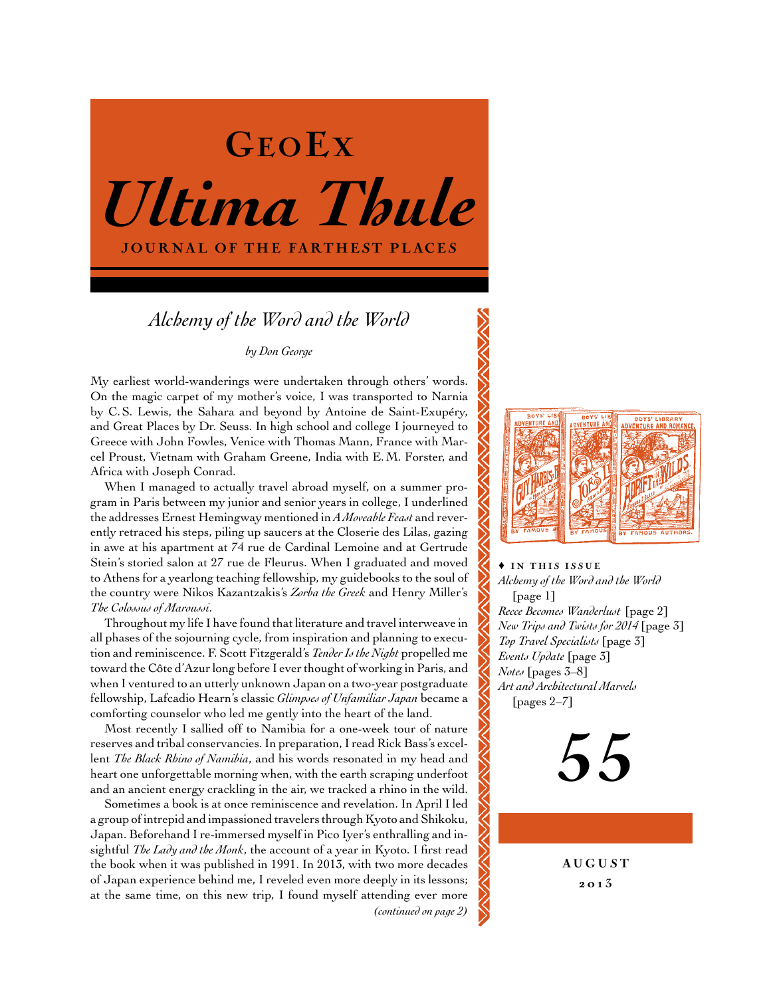

# *Alchemy of the Word and the World*

# *by Don George*

My earliest world-wanderings were undertaken through others' words. On the magic carpet of my mother's voice, I was transported to Narnia by C.S. Lewis, the Sahara and beyond by Antoine de Saint-Exupéry, and Great Places by Dr. Seuss. In high school and college I journeyed to Greece with John Fowles, Venice with Thomas Mann, France with Marcel Proust, Vietnam with Graham Greene, India with E.M. Forster, and Africa with Joseph Conrad.

When I managed to actually travel abroad myself, on a summer program in Paris between my junior and senior years in college, I underlined the addresses Ernest Hemingway mentioned in *A Moveable Feast* and reverently retraced his steps, piling up saucers at the Closerie des Lilas, gazing in awe at his apartment at 74 rue de Cardinal Lemoine and at Gertrude Stein's storied salon at 27 rue de Fleurus. When I graduated and moved to Athens for a yearlong teaching fellowship, my guidebooks to the soul of the country were Nikos Kazantzakis's *Zorba the Greek* and Henry Miller's *The Colossus of Maroussi*.

Throughout my life I have found that literature and travel interweave in all phases of the sojourning cycle, from inspiration and planning to execution and reminiscence. F. Scott Fitzgerald's *Tender Is the Night* propelled me toward the Côte d'Azur long before I ever thought of working in Paris, and when I ventured to an utterly unknown Japan on a two-year postgraduate fellowship, Lafcadio Hearn's classic *Glimpses of Unfamiliar Japan* became a comforting counselor who led me gently into the heart of the land.

Most recently I sallied off to Namibia for a one-week tour of nature reserves and tribal conservancies. In preparation, I read Rick Bass's excellent *The Black Rhino of Namibia*, and his words resonated in my head and heart one unforgettable morning when, with the earth scraping underfoot and an ancient energy crackling in the air, we tracked a rhino in the wild.

Sometimes a book is at once reminiscence and revelation. In April I led a group of intrepid and impassioned travelers through Kyoto and Shikoku, Japan. Beforehand I re-immersed myself in Pico Iyer's enthralling and insightful *The Lady and the Monk*, the account of a year in Kyoto. I first read the book when it was published in 1991. In 2013, with two more decades of Japan experience behind me, I reveled even more deeply in its lessons; at the same time, on this new trip, I found myself attending ever more *(continued on page 2)*



 $\triangle$  IN THIS ISSUE *Alchemy of the Word and the World*  [page 1] *Recce Becomes Wanderlust* [page 2] *New Trips and Twists for 2014* [page 3] *Top Travel Specialists* [page 3] *Events Update* [page 3] *Notes* [pages 3–8] *Art and Architectural Marvels*  [pages 2–7]

55

**AUGUST** 20 13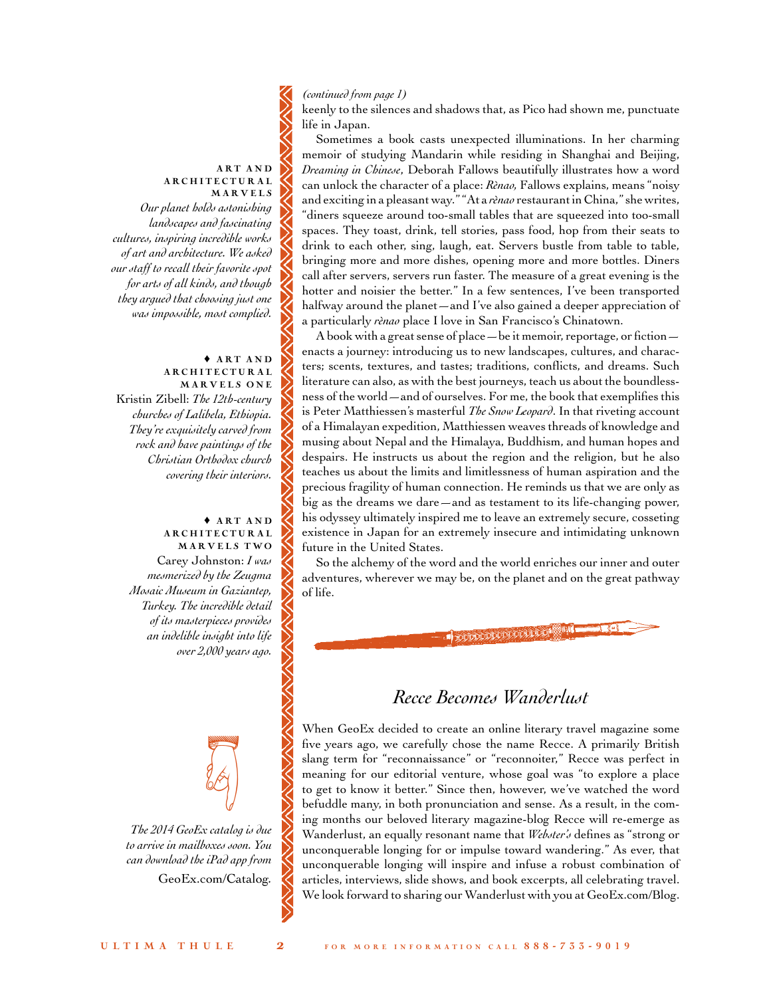# *(continued from page 1)*

keenly to the silences and shadows that, as Pico had shown me, punctuate life in Japan.

Sometimes a book casts unexpected illuminations. In her charming memoir of studying Mandarin while residing in Shanghai and Beijing, *Dreaming in Chinese*, Deborah Fallows beautifully illustrates how a word can unlock the character of a place: *Rènao,* Fallows explains, means"noisy and exciting in a pleasant way." "At a *rènao* restaurant in China," she writes, "diners squeeze around too-small tables that are squeezed into too-small spaces. They toast, drink, tell stories, pass food, hop from their seats to drink to each other, sing, laugh, eat. Servers bustle from table to table, bringing more and more dishes, opening more and more bottles. Diners call after servers, servers run faster. The measure of a great evening is the hotter and noisier the better." In a few sentences, I've been transported halfway around the planet—and I've also gained a deeper appreciation of a particularly *rènao* place I love in San Francisco's Chinatown.

A book with a great sense of place—be it memoir, reportage, or fiction enacts a journey: introducing us to new landscapes, cultures, and characters; scents, textures, and tastes; traditions, conflicts, and dreams. Such literature can also, as with the best journeys, teach us about the boundlessness of the world—and of ourselves. For me, the book that exemplifies this is Peter Matthiessen's masterful *The Snow Leopard*. In that riveting account of a Himalayan expedition, Matthiessen weaves threads of knowledge and musing about Nepal and the Himalaya, Buddhism, and human hopes and despairs. He instructs us about the region and the religion, but he also teaches us about the limits and limitlessness of human aspiration and the precious fragility of human connection. He reminds us that we are only as big as the dreams we dare—and as testament to its life-changing power, his odyssey ultimately inspired me to leave an extremely secure, cosseting existence in Japan for an extremely insecure and intimidating unknown future in the United States.

So the alchemy of the word and the world enriches our inner and outer adventures, wherever we may be, on the planet and on the great pathway of life.

**TENSORIA DELL'ARITME** 

## ART AND ARCHITECTURAL **MARVELS**

*Our planet holds astonishing landscapes and fascinating cultures, inspiring incredible works of art and architecture. We asked our staff to recall their favorite spot for arts of all kinds, and though they argued that choosing just one was impossible, most complied.*

# $\triangle$  ART AND **ARCHITECTURAL** MARVELS ONE Kristin Zibell: *The 12th-century churches of Lalibela, Ethiopia. They're exquisitely carved from rock and have paintings of the Christian Orthodox church covering their interiors.*

♦ A rt a n d A R.C.H I T E CTURAL MARVELS TWO Carey Johnston: *I was mesmerized by the Zeugma Mosaic Museum in Gaziantep, Turkey. The incredible detail of its masterpieces provides an indelible insight into life over 2,000 years ago.* 

*The 2014 GeoEx catalog is due to arrive in mailboxes soon. You can download the iPad app from*  [GeoEx.com/Catalog](http://www.geoex.com/forms/catalog-request)*.*

•

# *Recce Becomes Wanderlust*

When GeoEx decided to create an online literary travel magazine some five years ago, we carefully chose the name Recce. A primarily British slang term for "reconnaissance" or "reconnoiter," Recce was perfect in meaning for our editorial venture, whose goal was "to explore a place to get to know it better." Since then, however, we've watched the word befuddle many, in both pronunciation and sense. As a result, in the coming months our beloved literary magazine-blog Recce will re-emerge as Wanderlust, an equally resonant name that *Webster's* defines as "strong or unconquerable longing for or impulse toward wandering." As ever, that unconquerable longing will inspire and infuse a robust combination of articles, interviews, slide shows, and book excerpts, all celebrating travel. We look forward to sharing our Wanderlust with you a[t GeoEx.com/Blog.](http://www.geoex.com/blog)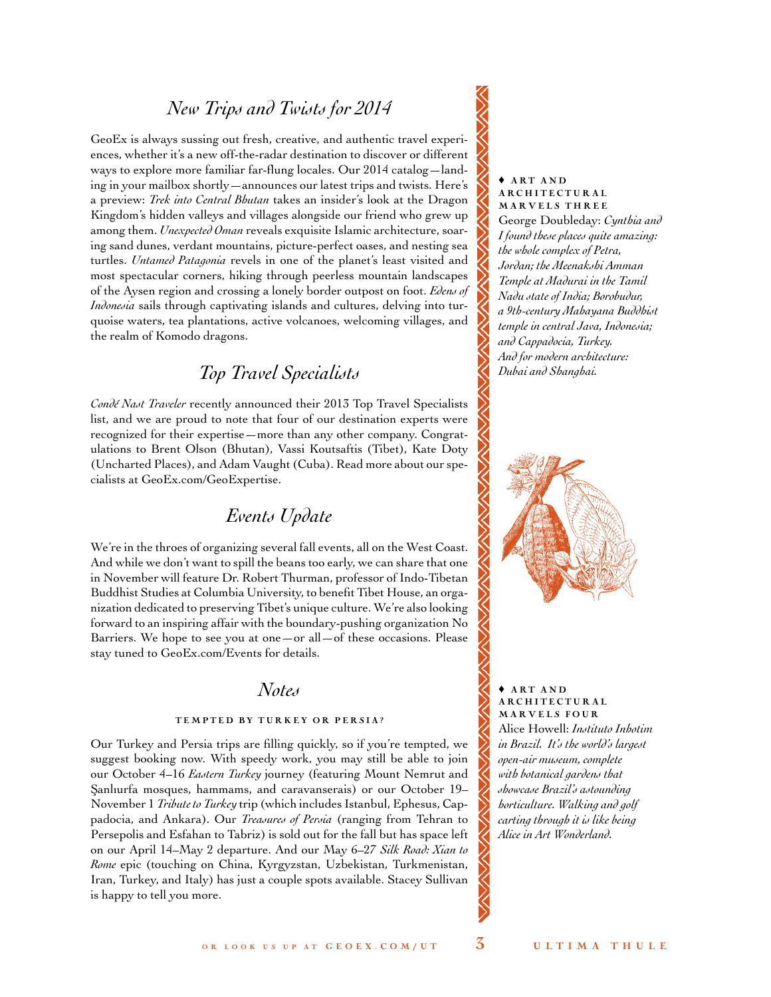# *New Trips and Twists for 2014*

GeoEx is always sussing out fresh, creative, and authentic travel experiences, whether it's a new off-the-radar destination to discover or different ways to explore more familiar far-flung locales. Our 2014 catalog—landing in your mailbox shortly—announces our latest trips and twists. Here's a preview: *Trek into Central Bhutan* takes an insider's look at the Dragon Kingdom's hidden valleys and villages alongside our friend who grew up among them. *Unexpected Oman* reveals exquisite Islamic architecture, soaring sand dunes, verdant mountains, picture-perfect oases, and nesting sea turtles. *Untamed Patagonia* revels in one of the planet's least visited and most spectacular corners, hiking through peerless mountain landscapes of the Aysen region and crossing a lonely border outpost on foot. *Edens of Indonesia* sails through captivating islands and cultures, delving into turquoise waters, tea plantations, active volcanoes, welcoming villages, and the realm of Komodo dragons.

# *Top Travel Specialists*

*Condé Nast Traveler* recently announced their 2013 Top Travel Specialists list, and we are proud to note that four of our destination experts were recognized for their expertise—more than any other company. Congratulations to Brent Olson (Bhutan), Vassi Koutsaftis (Tibet), Kate Doty (Uncharted Places), and Adam Vaught (Cuba). Read more about our specialists at [GeoEx.com/GeoExpertise.](http://www.geoex.com/about/why-geoex/geoexpertise)

# *Events Update*

We're in the throes of organizing several fall events, all on the West Coast. And while we don't want to spill the beans too early, we can share that one in November will feature Dr. Robert Thurman, professor of Indo-Tibetan Buddhist Studies at Columbia University, to benefit Tibet House, an organization dedicated to preserving Tibet's unique culture. We're also looking forward to an inspiring affair with the boundary-pushing organization No Barriers. We hope to see you at one—or all—of these occasions. Please stay tuned to [GeoEx.com/Events f](http://www.geoex.com/about/events-2013)or details.

# *Notes*

# TEMPTED BY TURKEY OR PERSIA?

Our Turkey and Persia trips are filling quickly, so if you're tempted, we suggest booking now. With speedy work, you may still be able to join our October 4–16 *Eastern Turkey* journey (featuring Mount Nemrut and Şanlıurfa mosques, hammams, and caravanserais) or our October 19-November 1 *Tribute to Turkey* trip (which includes Istanbul, Ephesus, Cappadocia, and Ankara). Our *Treasures of Persia* (ranging from Tehran to Persepolis and Esfahan to Tabriz) is sold out for the fall but has space left on our April 14–May 2 departure. And our May 6–27 *Silk Road: Xian to Rome* epic (touching on China, Kyrgyzstan, Uzbekistan, Turkmenistan, Iran, Turkey, and Italy) has just a couple spots available. Stacey Sullivan is happy to tell you more.

#### $*$  ART AND A RC H I T E CTURAL MARVELS THREE

George Doubleday: *Cynthia and I found these places quite amazing: the whole complex of Petra, Jordan; the Meenakshi Amman Temple at Madurai in the Tamil Nadu state of India; Borobudur, a 9th-century Mahayana Buddhist temple in central Java, Indonesia; and Cappadocia, Turkey. And for modern architecture: Dubai and Shanghai.* 



♦ A rt a n d **ARCHITECTURAL** Mar v e ls four Alice Howell: *Instituto Inhotim in Brazil. It's the world's largest open-air museum, complete with botanical gardens that showcase Brazil's astounding horticulture. Walking and golf carting through it is like being Alice in Art Wonderland.*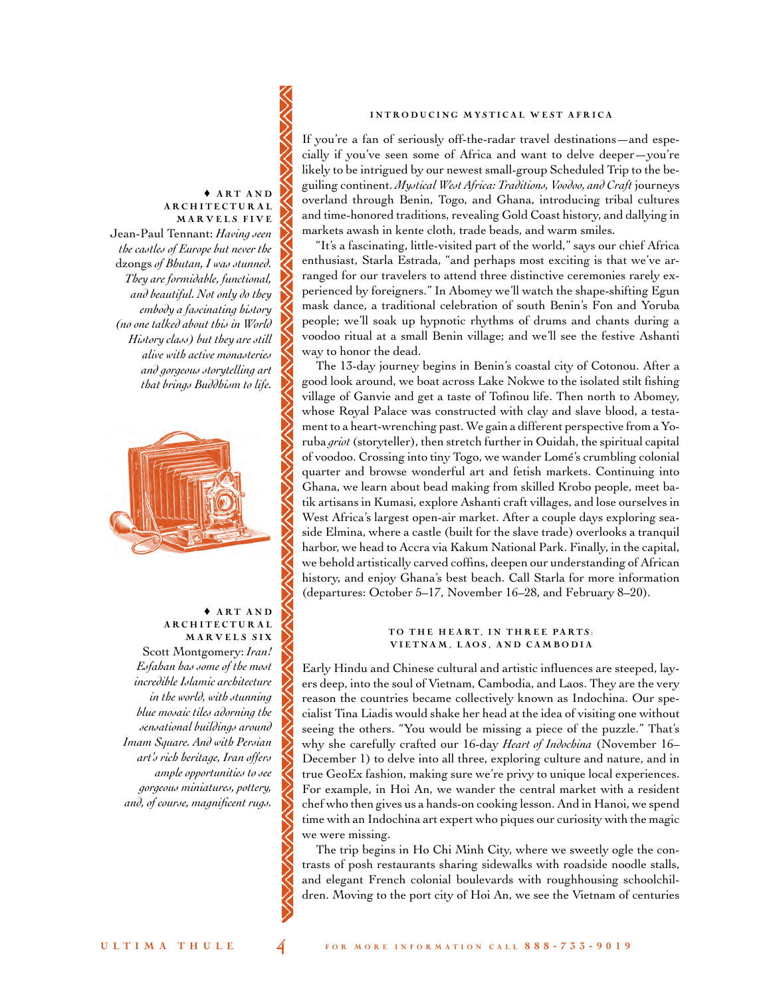## INTRODUCING MYSTICAL WEST AFRICA

If you're a fan of seriously off-the-radar travel destinations—and especially if you've seen some of Africa and want to delve deeper—you're likely to be intrigued by our newest small-group Scheduled Trip to the beguiling continent. *Mystical West Africa: Traditions, Voodoo, and Craft* journeys overland through Benin, Togo, and Ghana, introducing tribal cultures and time-honored traditions, revealing Gold Coast history, and dallying in markets awash in kente cloth, trade beads, and warm smiles.

"It's a fascinating, little-visited part of the world," says our chief Africa enthusiast, Starla Estrada, "and perhaps most exciting is that we've arranged for our travelers to attend three distinctive ceremonies rarely experienced by foreigners." In Abomey we'll watch the shape-shifting Egun mask dance, a traditional celebration of south Benin's Fon and Yoruba people; we'll soak up hypnotic rhythms of drums and chants during a voodoo ritual at a small Benin village; and we'll see the festive Ashanti way to honor the dead.

The 13-day journey begins in Benin's coastal city of Cotonou. After a good look around, we boat across Lake Nokwe to the isolated stilt fishing village of Ganvie and get a taste of Tofinou life. Then north to Abomey, whose Royal Palace was constructed with clay and slave blood, a testament to a heart-wrenching past. We gain a different perspective from a Yoruba *griot* (storyteller), then stretch further in Ouidah, the spiritual capital of voodoo. Crossing into tiny Togo, we wander Lomé's crumbling colonial quarter and browse wonderful art and fetish markets. Continuing into Ghana, we learn about bead making from skilled Krobo people, meet batik artisans in Kumasi, explore Ashanti craft villages, and lose ourselves in West Africa's largest open-air market. After a couple days exploring seaside Elmina, where a castle (built for the slave trade) overlooks a tranquil harbor, we head to Accra via Kakum National Park. Finally, in the capital, we behold artistically carved coffins, deepen our understanding of African history, and enjoy Ghana's best beach. Call Starla for more information (departures: October 5–17, November 16–28, and February 8–20).

## TO THE HEART, IN THREE PARTS: VIETNAM, LAOS, AND CAMBODIA

Early Hindu and Chinese cultural and artistic influences are steeped, layers deep, into the soul of Vietnam, Cambodia, and Laos. They are the very reason the countries became collectively known as Indochina. Our specialist Tina Liadis would shake her head at the idea of visiting one without seeing the others. "You would be missing a piece of the puzzle." That's why she carefully crafted our 16-day *Heart of Indochina* (November 16– December 1) to delve into all three, exploring culture and nature, and in true GeoEx fashion, making sure we're privy to unique local experiences. For example, in Hoi An, we wander the central market with a resident chef who then gives us a hands-on cooking lesson. And in Hanoi, we spend time with an Indochina art expert who piques our curiosity with the magic we were missing.

The trip begins in Ho Chi Minh City, where we sweetly ogle the contrasts of posh restaurants sharing sidewalks with roadside noodle stalls, and elegant French colonial boulevards with roughhousing schoolchildren. Moving to the port city of Hoi An, we see the Vietnam of centuries

# $\triangle$  ART AND A R C H I T E C T U R A L MARVELS FIVE Jean-Paul Tennant: *Having seen*

*the castles of Europe but never the*  dzongs *of Bhutan, I was stunned. They are formidable, functional, and beautiful. Not only do they embody a fascinating history (no one talked about this in World History class) but they are still alive with active monasteries and gorgeous storytelling art that brings Buddhism to life.*



# ♦ A rt a n d A R C H I T E C T U R A L MARVELS SIX

Scott Montgomery: *Iran! Esfahan has some of the most incredible Islamic architecture in the world, with stunning blue mosaic tiles adorning the sensational buildings around Imam Square. And with Persian art's rich heritage, Iran offers ample opportunities to see gorgeous miniatures, pottery, and, of course, magnificent rugs.*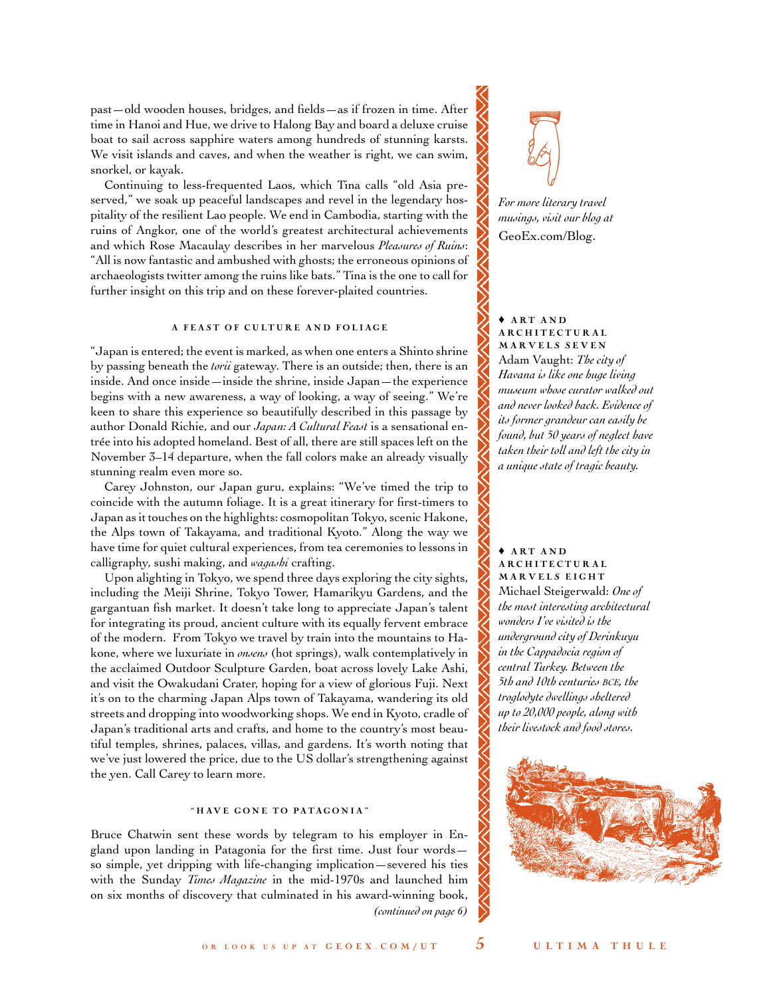past—old wooden houses, bridges, and fields—as if frozen in time. After time in Hanoi and Hue, we drive to Halong Bay and board a deluxe cruise boat to sail across sapphire waters among hundreds of stunning karsts. We visit islands and caves, and when the weather is right, we can swim, snorkel, or kayak.

Continuing to less-frequented Laos, which Tina calls "old Asia preserved," we soak up peaceful landscapes and revel in the legendary hospitality of the resilient Lao people. We end in Cambodia, starting with the ruins of Angkor, one of the world's greatest architectural achievements and which Rose Macaulay describes in her marvelous *Pleasures of Ruins*: "All is now fantastic and ambushed with ghosts; the erroneous opinions of archaeologists twitter among the ruins like bats." Tina is the one to call for further insight on this trip and on these forever-plaited countries.

# A FEAST OF CULTURE AND FOLIAGE

"Japan is entered; the event is marked, as when one enters a Shinto shrine by passing beneath the *torii* gateway. There is an outside; then, there is an inside. And once inside—inside the shrine, inside Japan—the experience begins with a new awareness, a way of looking, a way of seeing." We're keen to share this experience so beautifully described in this passage by author Donald Richie, and our *Japan: A Cultural Feast* is a sensational entrée into his adopted homeland. Best of all, there are still spaces left on the November 3–14 departure, when the fall colors make an already visually stunning realm even more so.

Carey Johnston, our Japan guru, explains: "We've timed the trip to coincide with the autumn foliage. It is a great itinerary for first-timers to Japan as it touches on the highlights: cosmopolitan Tokyo, scenic Hakone, the Alps town of Takayama, and traditional Kyoto." Along the way we have time for quiet cultural experiences, from tea ceremonies to lessons in calligraphy, sushi making, and *wagashi* crafting.

Upon alighting in Tokyo, we spend three days exploring the city sights, including the Meiji Shrine, Tokyo Tower, Hamarikyu Gardens, and the gargantuan fish market. It doesn't take long to appreciate Japan's talent for integrating its proud, ancient culture with its equally fervent embrace of the modern. From Tokyo we travel by train into the mountains to Hakone, where we luxuriate in *onsens* (hot springs), walk contemplatively in the acclaimed Outdoor Sculpture Garden, boat across lovely Lake Ashi, and visit the Owakudani Crater, hoping for a view of glorious Fuji. Next it's on to the charming Japan Alps town of Takayama, wandering its old streets and dropping into woodworking shops. We end in Kyoto, cradle of Japan's traditional arts and crafts, and home to the country's most beautiful temples, shrines, palaces, villas, and gardens. It's worth noting that we've just lowered the price, due to the US dollar's strengthening against the yen. Call Carey to learn more.

## " HAVE GONE TO PATAGONIA"

Bruce Chatwin sent these words by telegram to his employer in England upon landing in Patagonia for the first time. Just four words so simple, yet dripping with life-changing implication—severed his ties with the Sunday *Times Magazine* in the mid-1970s and launched him on six months of discovery that culminated in his award-winning book, *(continued on page 6)*



*For more literary travel musings, visit our blog at* [GeoEx.com/Blog.](http://www.geoex.com/blog)

#### $A RT AND$ A RC H I T E CTURAL Mar v e ls s e v e n

Adam Vaught: *The city of Havana is like one huge living museum whose curator walked out and never looked back. Evidence of its former grandeur can easily be found, but 50 years of neglect have taken their toll and left the city in a unique state of tragic beauty.*

# ♦ A rt a n d A RC H I T E CTURAL MARVELS EIGHT Michael Steigerwald: *One of the most interesting architectural wonders I've visited is the underground city of Derinkuyu*

*in the Cappadocia region of central Turkey. Between the 5th and 10th centuries bce, the troglodyte dwellings sheltered up to 20,000 people, along with their livestock and food stores.* 

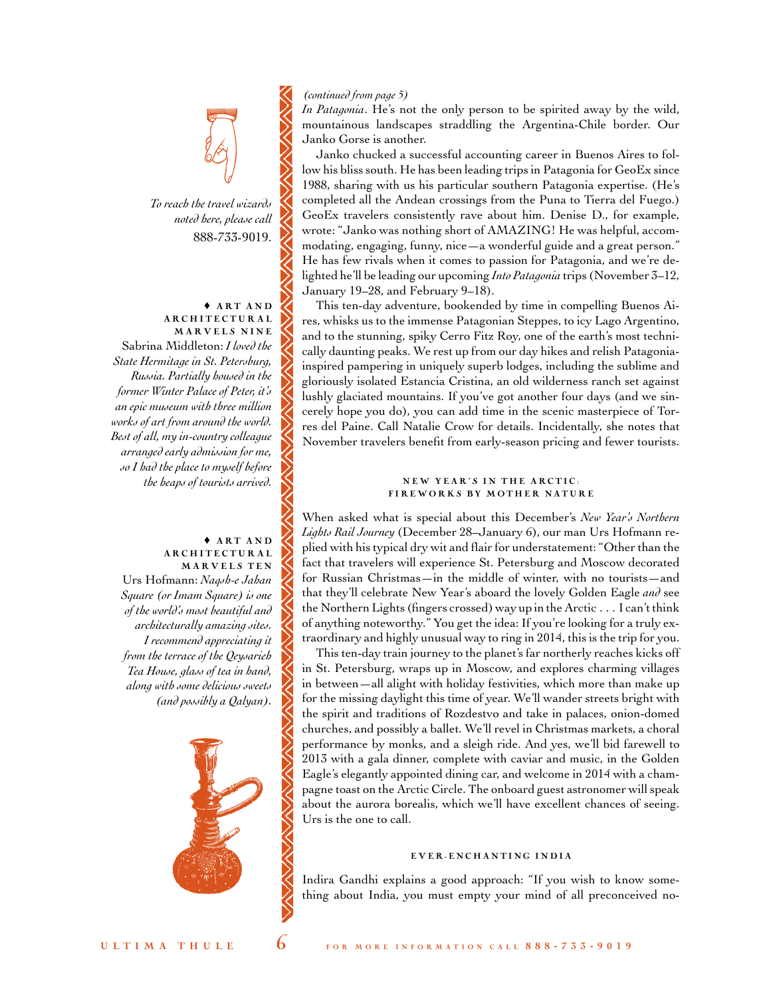# *(continued from page 5)*

*In Patagonia*. He's not the only person to be spirited away by the wild, mountainous landscapes straddling the Argentina-Chile border. Our Janko Gorse is another.

Janko chucked a successful accounting career in Buenos Aires to follow his bliss south. He has been leading trips in Patagonia for GeoEx since 1988, sharing with us his particular southern Patagonia expertise. (He's completed all the Andean crossings from the Puna to Tierra del Fuego.) GeoEx travelers consistently rave about him. Denise D., for example, wrote: "Janko was nothing short of AMAZING! He was helpful, accommodating, engaging, funny, nice—a wonderful guide and a great person." He has few rivals when it comes to passion for Patagonia, and we're delighted he'll be leading our upcoming *Into Patagonia* trips (November 3–12, January 19–28, and February 9–18).

This ten-day adventure, bookended by time in compelling Buenos Aires, whisks us to the immense Patagonian Steppes, to icy Lago Argentino, and to the stunning, spiky Cerro Fitz Roy, one of the earth's most technically daunting peaks. We rest up from our day hikes and relish Patagoniainspired pampering in uniquely superb lodges, including the sublime and gloriously isolated Estancia Cristina, an old wilderness ranch set against lushly glaciated mountains. If you've got another four days (and we sincerely hope you do), you can add time in the scenic masterpiece of Torres del Paine. Call Natalie Crow for details. Incidentally, she notes that November travelers benefit from early-season pricing and fewer tourists.

#### NEW YEAR'S IN THE ARCTIC: FIREWORKS BY MOTHER NATURE

When asked what is special about this December's *New Year's Northern Lights Rail Journey* (December 28–January 6), our man Urs Hofmann replied with his typical dry wit and flair for understatement: "Other than the fact that travelers will experience St. Petersburg and Moscow decorated for Russian Christmas—in the middle of winter, with no tourists—and that they'll celebrate New Year's aboard the lovely Golden Eagle *and* see the Northern Lights (fingers crossed) way up in the Arctic . . . I can't think of anything noteworthy." You get the idea: If you're looking for a truly extraordinary and highly unusual way to ring in 2014, this is the trip for you.

This ten-day train journey to the planet's far northerly reaches kicks off in St. Petersburg, wraps up in Moscow, and explores charming villages in between—all alight with holiday festivities, which more than make up for the missing daylight this time of year. We'll wander streets bright with the spirit and traditions of Rozdestvo and take in palaces, onion-domed churches, and possibly a ballet. We'll revel in Christmas markets, a choral performance by monks, and a sleigh ride. And yes, we'll bid farewell to 2013 with a gala dinner, complete with caviar and music, in the Golden Eagle's elegantly appointed dining car, and welcome in 2014 with a champagne toast on the Arctic Circle. The onboard guest astronomer will speak about the aurora borealis, which we'll have excellent chances of seeing. Urs is the one to call.

#### EVER-ENCHANTING INDIA

Indira Gandhi explains a good approach: "If you wish to know something about India, you must empty your mind of all preconceived no-



•

#### ♦ A rt a n d A R C H I T E C T U R A L MARVELS NINE

Sabrina Middleton: *I loved the State Hermitage in St. Petersburg, Russia. Partially housed in the former Winter Palace of Peter, it's an epic museum with three million works of art from around the world. Best of all, my in-country colleague arranged early admission for me, so I had the place to myself before the heaps of tourists arrived.*

# $*$  ART AND A R.C H I T E C T U R.A L. MARVELS TEN Urs Hofmann: *Naqsh-e Jahan*

*Square (or Imam Square) is one of the world's most beautiful and architecturally amazing sites. I recommend appreciating it from the terrace of the Qeysarieh Tea House, glass of tea in hand, along with some delicious sweets (and possibly a Qalyan).*

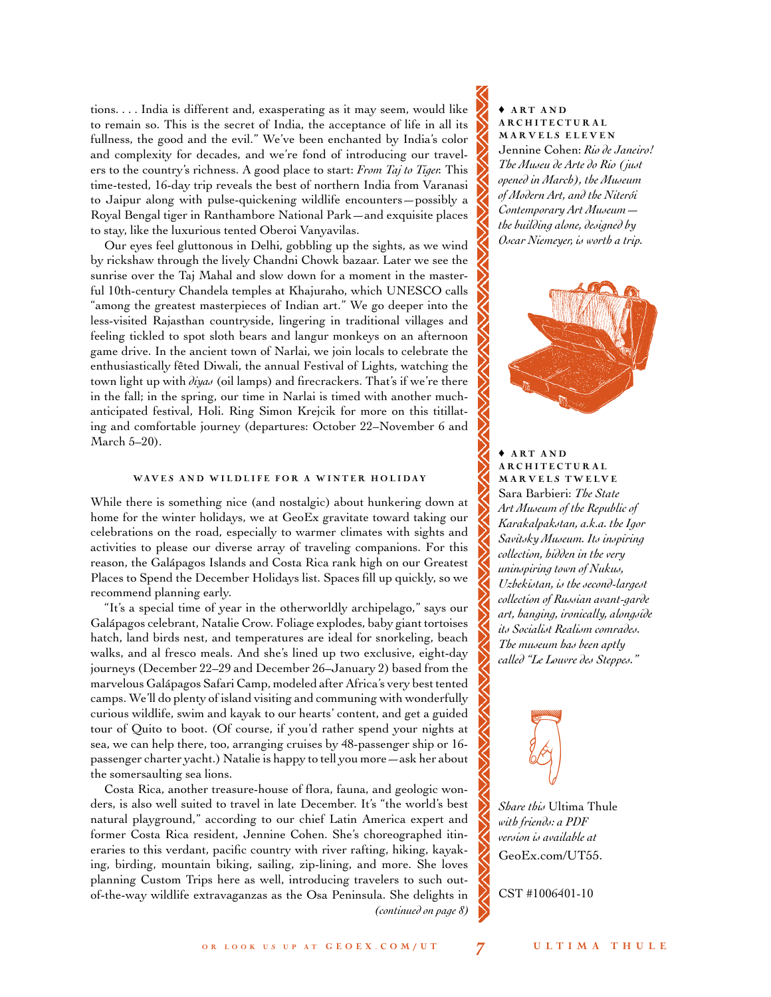tions. . . . India is different and, exasperating as it may seem, would like to remain so. This is the secret of India, the acceptance of life in all its fullness, the good and the evil." We've been enchanted by India's color and complexity for decades, and we're fond of introducing our travelers to the country's richness. A good place to start: *From Taj to Tiger.* This time-tested, 16-day trip reveals the best of northern India from Varanasi to Jaipur along with pulse-quickening wildlife encounters—possibly a Royal Bengal tiger in Ranthambore National Park—and exquisite places to stay, like the luxurious tented Oberoi Vanyavilas.

Our eyes feel gluttonous in Delhi, gobbling up the sights, as we wind by rickshaw through the lively Chandni Chowk bazaar. Later we see the sunrise over the Taj Mahal and slow down for a moment in the masterful 10th-century Chandela temples at Khajuraho, which UNESCO calls "among the greatest masterpieces of Indian art." We go deeper into the less-visited Rajasthan countryside, lingering in traditional villages and feeling tickled to spot sloth bears and langur monkeys on an afternoon game drive. In the ancient town of Narlai, we join locals to celebrate the enthusiastically fêted Diwali, the annual Festival of Lights, watching the town light up with *diyas* (oil lamps) and firecrackers. That's if we're there in the fall; in the spring, our time in Narlai is timed with another muchanticipated festival, Holi. Ring Simon Krejcik for more on this titillating and comfortable journey (departures: October 22–November 6 and March 5–20).

#### WAVES AND WILDLIFE FOR A WINTER HOLIDAY

While there is something nice (and nostalgic) about hunkering down at home for the winter holidays, we at GeoEx gravitate toward taking our celebrations on the road, especially to warmer climates with sights and activities to please our diverse array of traveling companions. For this reason, the Galápagos Islands and Costa Rica rank high on our Greatest Places to Spend the December Holidays list. Spaces fill up quickly, so we recommend planning early.

"It's a special time of year in the otherworldly archipelago," says our Galápagos celebrant, Natalie Crow. Foliage explodes, baby giant tortoises hatch, land birds nest, and temperatures are ideal for snorkeling, beach walks, and al fresco meals. And she's lined up two exclusive, eight-day journeys (December 22–29 and December 26–January 2) based from the marvelous Galápagos Safari Camp, modeled after Africa's very best tented camps. We'll do plenty of island visiting and communing with wonderfully curious wildlife, swim and kayak to our hearts' content, and get a guided tour of Quito to boot. (Of course, if you'd rather spend your nights at sea, we can help there, too, arranging cruises by 48-passenger ship or 16 passenger charter yacht.) Natalie is happy to tell you more—ask her about the somersaulting sea lions.

Costa Rica, another treasure-house of flora, fauna, and geologic wonders, is also well suited to travel in late December. It's "the world's best natural playground," according to our chief Latin America expert and former Costa Rica resident, Jennine Cohen. She's choreographed itineraries to this verdant, pacific country with river rafting, hiking, kayaking, birding, mountain biking, sailing, zip-lining, and more. She loves planning Custom Trips here as well, introducing travelers to such outof-the-way wildlife extravaganzas as the Osa Peninsula. She delights in *(continued on page 8)*

 $*$  ART AND A R C H I T E C T URAL MARVELS ELEVEN Jennine Cohen: *Rio de Janeiro! The Museu de Arte do Rio (just opened in March), the Museum of Modern Art, and the Niterói Contemporary Art Museum the building alone, designed by Oscar Niemeyer, is worth a trip.*



# $\triangle$  ART AND A RC H I T E CTURAL MARVELS TWELVE Sara Barbieri: *The State Art Museum of the Republic of Karakalpakstan, a.k.a. the Igor Savitsky Museum. Its inspiring collection, hidden in the very uninspiring town of Nukus, Uzbekistan, is the second-largest collection of Russian avant-garde art, hanging, ironically, alongside its Socialist Realism comrades. The museum has been aptly called "Le Louvre des Steppes."*



*Share this* Ultima Thule *with friends: a PDF version is available at*  [GeoEx.com/UT55.](http://www.geoex.com/~/media/Files/Ultima-Thule_55.ashx)

CST #1006401-10